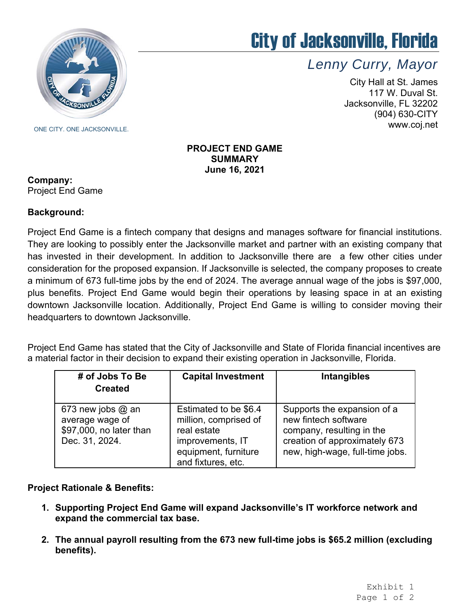

## City of Jacksonville, Florida

*Lenny Curry, Mayor* 

City Hall at St. James 117 W. Duval St. Jacksonville, FL 32202 (904) 630-CITY www.coj.net

**PROJECT END GAME SUMMARY June 16, 2021** 

#### **Company:** Project End Game

### **Background:**

 has invested in their development. In addition to Jacksonville there are a few other cities under Project End Game is a fintech company that designs and manages software for financial institutions. They are looking to possibly enter the Jacksonville market and partner with an existing company that consideration for the proposed expansion. If Jacksonville is selected, the company proposes to create a minimum of 673 full-time jobs by the end of 2024. The average annual wage of the jobs is \$97,000, plus benefits. Project End Game would begin their operations by leasing space in at an existing downtown Jacksonville location. Additionally, Project End Game is willing to consider moving their headquarters to downtown Jacksonville.

Project End Game has stated that the City of Jacksonville and State of Florida financial incentives are a material factor in their decision to expand their existing operation in Jacksonville, Florida.

| # of Jobs To Be<br><b>Created</b>                                                   | <b>Capital Investment</b>                                                                                                       | Intangibles                                                                                                                                          |
|-------------------------------------------------------------------------------------|---------------------------------------------------------------------------------------------------------------------------------|------------------------------------------------------------------------------------------------------------------------------------------------------|
| 673 new jobs $@$ an<br>average wage of<br>\$97,000, no later than<br>Dec. 31, 2024. | Estimated to be \$6.4<br>million, comprised of<br>real estate<br>improvements, IT<br>equipment, furniture<br>and fixtures, etc. | Supports the expansion of a<br>new fintech software<br>company, resulting in the<br>creation of approximately 673<br>new, high-wage, full-time jobs. |

### **Project Rationale & Benefits:**

- **1. Supporting Project End Game will expand Jacksonville's IT workforce network and expand the commercial tax base.**
- **2. The annual payroll resulting from the 673 new full-time jobs is \$65.2 million (excluding benefits).**